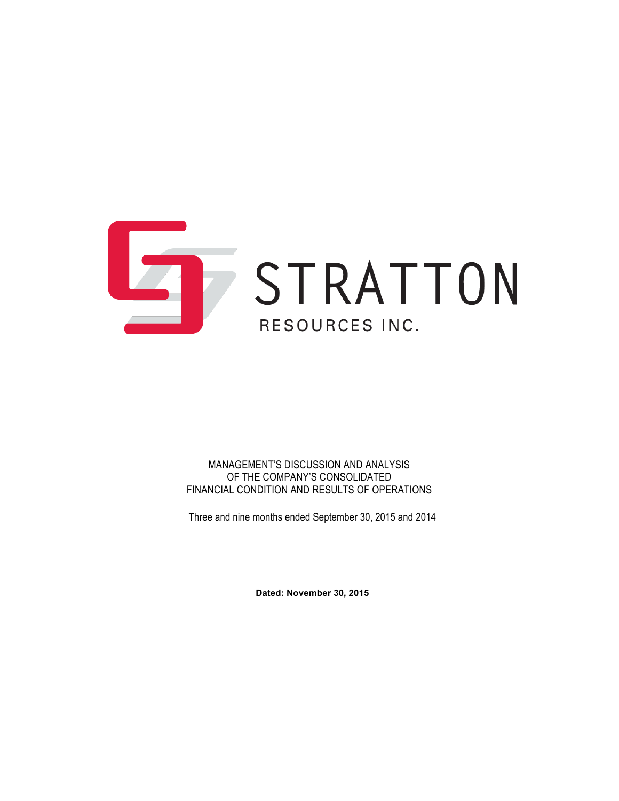

MANAGEMENT'S DISCUSSION AND ANALYSIS OF THE COMPANY'S CONSOLIDATED FINANCIAL CONDITION AND RESULTS OF OPERATIONS

Three and nine months ended September 30, 2015 and 2014

**Dated: November 30, 2015**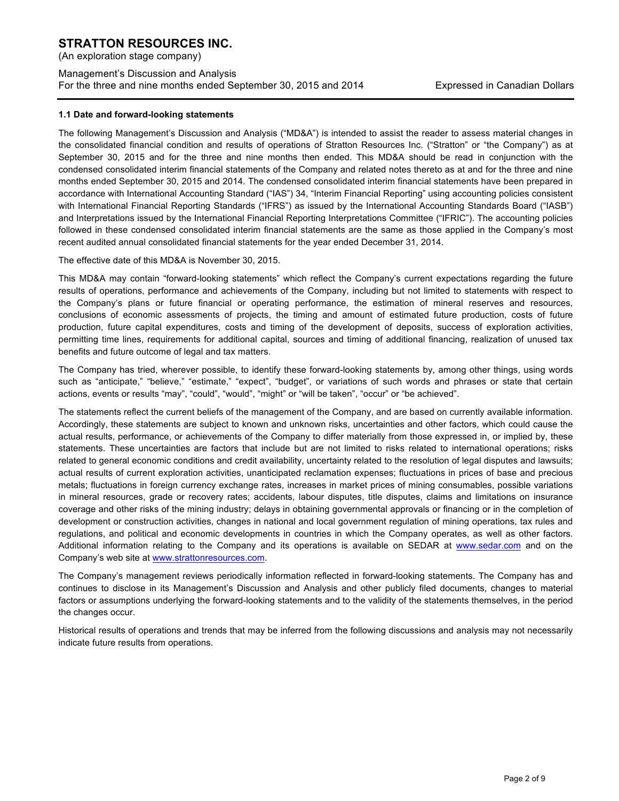(An exploration stage company)

## Management's Discussion and Analysis For the three and nine months ended September 30, 2015 and 2014 Expressed in Canadian Dollars

### **1.1 Date and forward-looking statements**

The following Management's Discussion and Analysis ("MD&A") is intended to assist the reader to assess material changes in the consolidated financial condition and results of operations of Stratton Resources Inc. ("Stratton" or "the Company") as at September 30, 2015 and for the three and nine months then ended. This MD&A should be read in conjunction with the condensed consolidated interim financial statements of the Company and related notes thereto as at and for the three and nine months ended September 30, 2015 and 2014. The condensed consolidated interim financial statements have been prepared in accordance with International Accounting Standard ("IAS") 34, "Interim Financial Reporting" using accounting policies consistent with International Financial Reporting Standards ("IFRS") as issued by the International Accounting Standards Board ("IASB") and Interpretations issued by the International Financial Reporting Interpretations Committee ("IFRIC"). The accounting policies followed in these condensed consolidated interim financial statements are the same as those applied in the Company's most recent audited annual consolidated financial statements for the year ended December 31, 2014.

The effective date of this MD&A is November 30, 2015.

This MD&A may contain "forward-looking statements" which reflect the Company's current expectations regarding the future results of operations, performance and achievements of the Company, including but not limited to statements with respect to the Company's plans or future financial or operating performance, the estimation of mineral reserves and resources, conclusions of economic assessments of projects, the timing and amount of estimated future production, costs of future production, future capital expenditures, costs and timing of the development of deposits, success of exploration activities, permitting time lines, requirements for additional capital, sources and timing of additional financing, realization of unused tax benefits and future outcome of legal and tax matters.

The Company has tried, wherever possible, to identify these forward-looking statements by, among other things, using words such as "anticipate," "believe," "estimate," "expect", "budget", or variations of such words and phrases or state that certain actions, events or results "may", "could", "would", "might" or "will be taken", "occur" or "be achieved".

The statements reflect the current beliefs of the management of the Company, and are based on currently available information. Accordingly, these statements are subject to known and unknown risks, uncertainties and other factors, which could cause the actual results, performance, or achievements of the Company to differ materially from those expressed in, or implied by, these statements. These uncertainties are factors that include but are not limited to risks related to international operations; risks related to general economic conditions and credit availability, uncertainty related to the resolution of legal disputes and lawsuits; actual results of current exploration activities, unanticipated reclamation expenses; fluctuations in prices of base and precious metals; fluctuations in foreign currency exchange rates, increases in market prices of mining consumables, possible variations in mineral resources, grade or recovery rates; accidents, labour disputes, title disputes, claims and limitations on insurance coverage and other risks of the mining industry; delays in obtaining governmental approvals or financing or in the completion of development or construction activities, changes in national and local government regulation of mining operations, tax rules and regulations, and political and economic developments in countries in which the Company operates, as well as other factors. Additional information relating to the Company and its operations is available on SEDAR at www.sedar.com and on the Company's web site at www.strattonresources.com.

The Company's management reviews periodically information reflected in forward-looking statements. The Company has and continues to disclose in its Management's Discussion and Analysis and other publicly filed documents, changes to material factors or assumptions underlying the forward-looking statements and to the validity of the statements themselves, in the period the changes occur.

Historical results of operations and trends that may be inferred from the following discussions and analysis may not necessarily indicate future results from operations.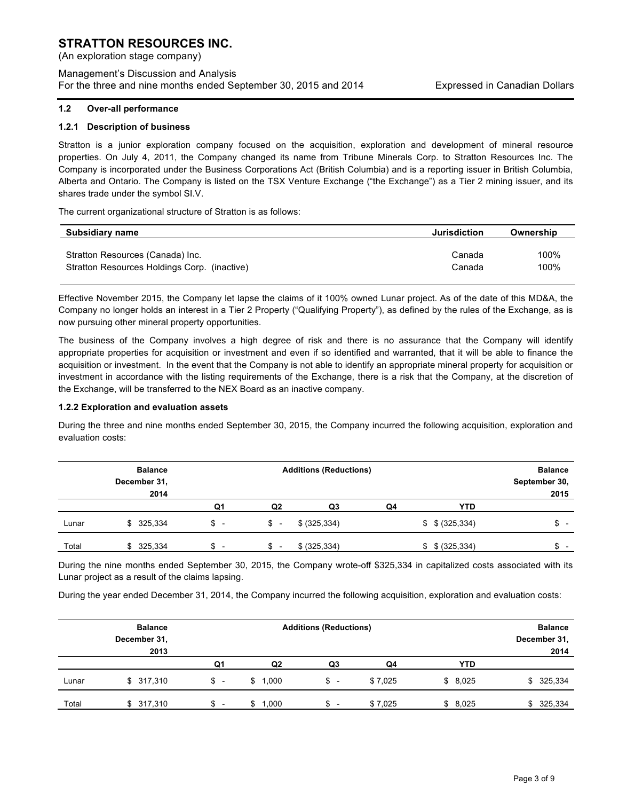(An exploration stage company)

Management's Discussion and Analysis For the three and nine months ended September 30, 2015 and 2014 Expressed in Canadian Dollars

### **1.2 Over-all performance**

### **1.2.1 Description of business**

Stratton is a junior exploration company focused on the acquisition, exploration and development of mineral resource properties. On July 4, 2011, the Company changed its name from Tribune Minerals Corp. to Stratton Resources Inc. The Company is incorporated under the Business Corporations Act (British Columbia) and is a reporting issuer in British Columbia, Alberta and Ontario. The Company is listed on the TSX Venture Exchange ("the Exchange") as a Tier 2 mining issuer, and its shares trade under the symbol SI.V.

The current organizational structure of Stratton is as follows:

| Subsidiary name                              | <b>Jurisdiction</b> | Ownership |
|----------------------------------------------|---------------------|-----------|
| Stratton Resources (Canada) Inc.             | Canada              | 100%      |
| Stratton Resources Holdings Corp. (inactive) | Canada              | 100%      |

Effective November 2015, the Company let lapse the claims of it 100% owned Lunar project. As of the date of this MD&A, the Company no longer holds an interest in a Tier 2 Property ("Qualifying Property"), as defined by the rules of the Exchange, as is now pursuing other mineral property opportunities.

The business of the Company involves a high degree of risk and there is no assurance that the Company will identify appropriate properties for acquisition or investment and even if so identified and warranted, that it will be able to finance the acquisition or investment. In the event that the Company is not able to identify an appropriate mineral property for acquisition or investment in accordance with the listing requirements of the Exchange, there is a risk that the Company, at the discretion of the Exchange, will be transferred to the NEX Board as an inactive company.

#### **1.2.2 Exploration and evaluation assets**

During the three and nine months ended September 30, 2015, the Company incurred the following acquisition, exploration and evaluation costs:

|       | <b>Balance</b> | <b>Additions (Reductions)</b> |                          |               |    | <b>Balance</b>      |                                |
|-------|----------------|-------------------------------|--------------------------|---------------|----|---------------------|--------------------------------|
|       | December 31,   |                               |                          |               |    |                     | September 30,                  |
|       | 2014           |                               |                          |               |    |                     | 2015                           |
|       |                | Q1                            | Q <sub>2</sub>           | Q3            | Q4 | <b>YTD</b>          |                                |
| Lunar | \$ 325,334     | $s -$                         | \$–                      | \$ (325, 334) |    | $$$ $$$ $(325,334)$ | \$<br>$\overline{\phantom{0}}$ |
| Total | \$325,334      | $\overline{\phantom{0}}$<br>จ | $\overline{\phantom{a}}$ | \$ (325, 334) |    | $$$ $$$ $(325,334)$ | ¢                              |

During the nine months ended September 30, 2015, the Company wrote-off \$325,334 in capitalized costs associated with its Lunar project as a result of the claims lapsing.

During the year ended December 31, 2014, the Company incurred the following acquisition, exploration and evaluation costs:

|       | <b>Balance</b><br>December 31, | <b>Additions (Reductions)</b>  |                |                          |         |            | <b>Balance</b><br>December 31, |
|-------|--------------------------------|--------------------------------|----------------|--------------------------|---------|------------|--------------------------------|
|       | 2013                           | Q1                             | Q <sub>2</sub> | Q3                       | Q4      | <b>YTD</b> | 2014                           |
| Lunar | \$317,310                      | \$<br>$\overline{\phantom{0}}$ | \$1,000        | \$-                      | \$7,025 | \$8,025    | \$325,334                      |
| Total | \$317,310                      | \$<br>$\overline{\phantom{0}}$ | 1.000<br>\$    | $\overline{\phantom{0}}$ | \$7.025 | \$8,025    | \$ 325,334                     |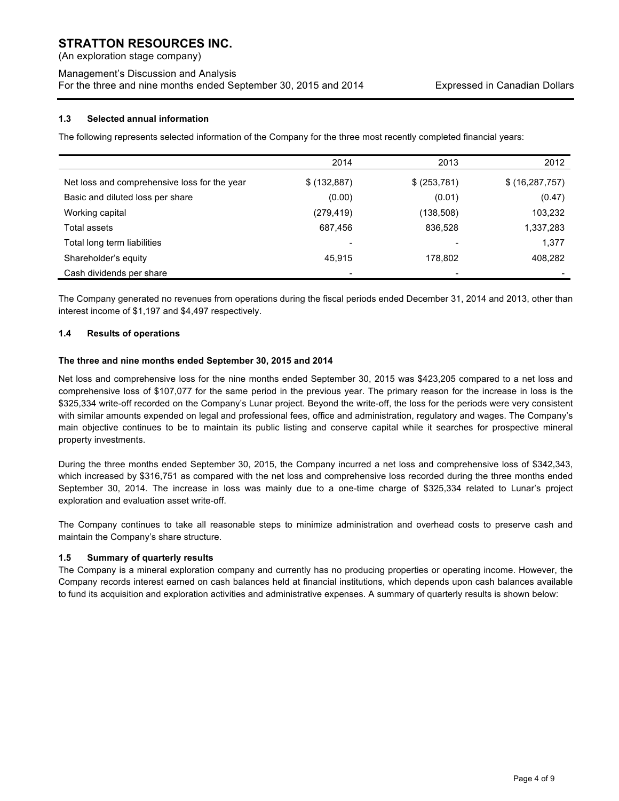(An exploration stage company)

## Management's Discussion and Analysis For the three and nine months ended September 30, 2015 and 2014 Expressed in Canadian Dollars

## **1.3 Selected annual information**

The following represents selected information of the Company for the three most recently completed financial years:

|                                              | 2014                     | 2013         | 2012             |
|----------------------------------------------|--------------------------|--------------|------------------|
| Net loss and comprehensive loss for the year | \$ (132,887)             | \$ (253,781) | \$(16, 287, 757) |
| Basic and diluted loss per share             | (0.00)                   | (0.01)       | (0.47)           |
| Working capital                              | (279, 419)               | (138,508)    | 103,232          |
| Total assets                                 | 687,456                  | 836,528      | 1,337,283        |
| Total long term liabilities                  | $\overline{\phantom{0}}$ |              | 1,377            |
| Shareholder's equity                         | 45.915                   | 178,802      | 408,282          |
| Cash dividends per share                     |                          |              |                  |

The Company generated no revenues from operations during the fiscal periods ended December 31, 2014 and 2013, other than interest income of \$1,197 and \$4,497 respectively.

## **1.4 Results of operations**

### **The three and nine months ended September 30, 2015 and 2014**

Net loss and comprehensive loss for the nine months ended September 30, 2015 was \$423,205 compared to a net loss and comprehensive loss of \$107,077 for the same period in the previous year. The primary reason for the increase in loss is the \$325,334 write-off recorded on the Company's Lunar project. Beyond the write-off, the loss for the periods were very consistent with similar amounts expended on legal and professional fees, office and administration, regulatory and wages. The Company's main objective continues to be to maintain its public listing and conserve capital while it searches for prospective mineral property investments.

During the three months ended September 30, 2015, the Company incurred a net loss and comprehensive loss of \$342,343, which increased by \$316,751 as compared with the net loss and comprehensive loss recorded during the three months ended September 30, 2014. The increase in loss was mainly due to a one-time charge of \$325,334 related to Lunar's project exploration and evaluation asset write-off.

The Company continues to take all reasonable steps to minimize administration and overhead costs to preserve cash and maintain the Company's share structure.

### **1.5 Summary of quarterly results**

The Company is a mineral exploration company and currently has no producing properties or operating income. However, the Company records interest earned on cash balances held at financial institutions, which depends upon cash balances available to fund its acquisition and exploration activities and administrative expenses. A summary of quarterly results is shown below: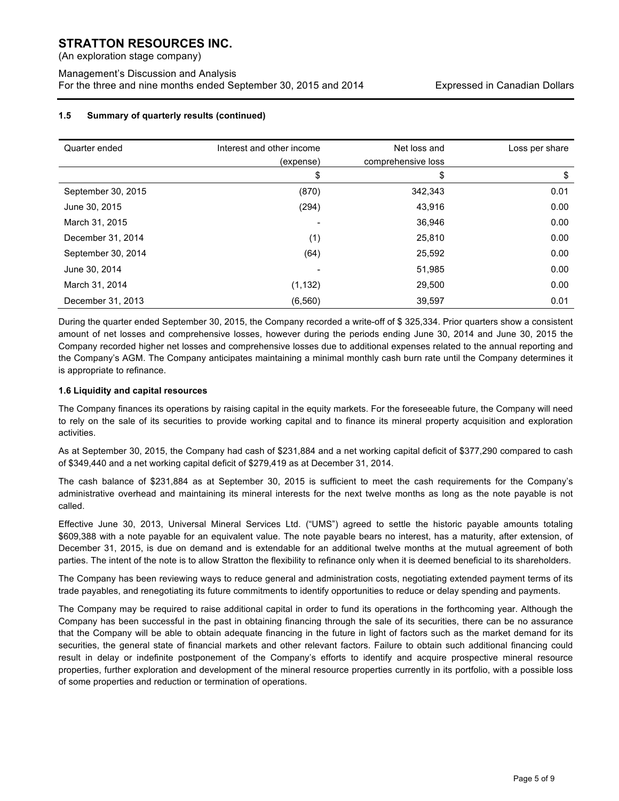(An exploration stage company)

Management's Discussion and Analysis For the three and nine months ended September 30, 2015 and 2014 Expressed in Canadian Dollars

## **1.5 Summary of quarterly results (continued)**

| Quarter ended      | Interest and other income | Net loss and       | Loss per share |
|--------------------|---------------------------|--------------------|----------------|
|                    | (expense)                 | comprehensive loss |                |
|                    | \$                        | \$                 | \$             |
| September 30, 2015 | (870)                     | 342,343            | 0.01           |
| June 30, 2015      | (294)                     | 43,916             | 0.00           |
| March 31, 2015     |                           | 36,946             | 0.00           |
| December 31, 2014  | (1)                       | 25,810             | 0.00           |
| September 30, 2014 | (64)                      | 25,592             | 0.00           |
| June 30, 2014      |                           | 51,985             | 0.00           |
| March 31, 2014     | (1, 132)                  | 29,500             | 0.00           |
| December 31, 2013  | (6, 560)                  | 39.597             | 0.01           |

During the quarter ended September 30, 2015, the Company recorded a write-off of \$ 325,334. Prior quarters show a consistent amount of net losses and comprehensive losses, however during the periods ending June 30, 2014 and June 30, 2015 the Company recorded higher net losses and comprehensive losses due to additional expenses related to the annual reporting and the Company's AGM. The Company anticipates maintaining a minimal monthly cash burn rate until the Company determines it is appropriate to refinance.

## **1.6 Liquidity and capital resources**

The Company finances its operations by raising capital in the equity markets. For the foreseeable future, the Company will need to rely on the sale of its securities to provide working capital and to finance its mineral property acquisition and exploration activities.

As at September 30, 2015, the Company had cash of \$231,884 and a net working capital deficit of \$377,290 compared to cash of \$349,440 and a net working capital deficit of \$279,419 as at December 31, 2014.

The cash balance of \$231,884 as at September 30, 2015 is sufficient to meet the cash requirements for the Company's administrative overhead and maintaining its mineral interests for the next twelve months as long as the note payable is not called.

Effective June 30, 2013, Universal Mineral Services Ltd. ("UMS") agreed to settle the historic payable amounts totaling \$609,388 with a note payable for an equivalent value. The note payable bears no interest, has a maturity, after extension, of December 31, 2015, is due on demand and is extendable for an additional twelve months at the mutual agreement of both parties. The intent of the note is to allow Stratton the flexibility to refinance only when it is deemed beneficial to its shareholders.

The Company has been reviewing ways to reduce general and administration costs, negotiating extended payment terms of its trade payables, and renegotiating its future commitments to identify opportunities to reduce or delay spending and payments.

The Company may be required to raise additional capital in order to fund its operations in the forthcoming year. Although the Company has been successful in the past in obtaining financing through the sale of its securities, there can be no assurance that the Company will be able to obtain adequate financing in the future in light of factors such as the market demand for its securities, the general state of financial markets and other relevant factors. Failure to obtain such additional financing could result in delay or indefinite postponement of the Company's efforts to identify and acquire prospective mineral resource properties, further exploration and development of the mineral resource properties currently in its portfolio, with a possible loss of some properties and reduction or termination of operations.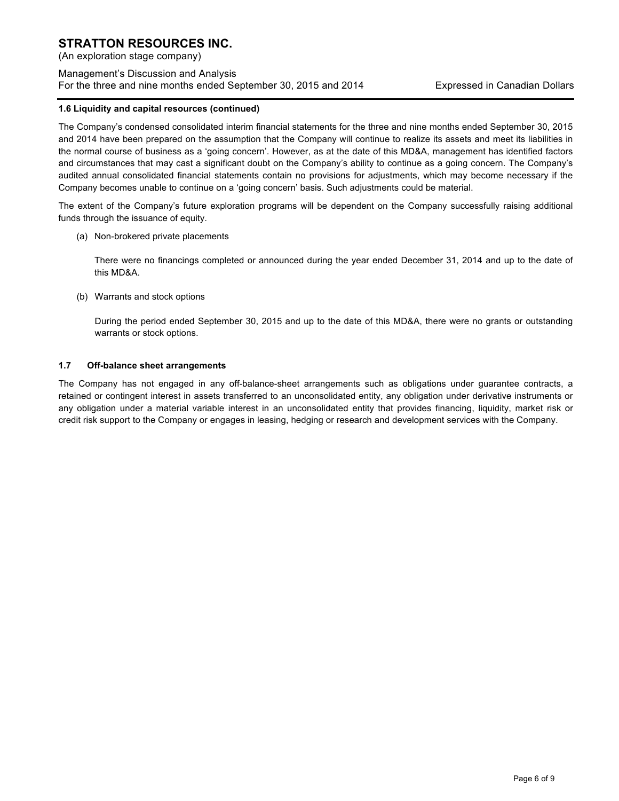(An exploration stage company)

Management's Discussion and Analysis For the three and nine months ended September 30, 2015 and 2014 Expressed in Canadian Dollars

### **1.6 Liquidity and capital resources (continued)**

The Company's condensed consolidated interim financial statements for the three and nine months ended September 30, 2015 and 2014 have been prepared on the assumption that the Company will continue to realize its assets and meet its liabilities in the normal course of business as a 'going concern'. However, as at the date of this MD&A, management has identified factors and circumstances that may cast a significant doubt on the Company's ability to continue as a going concern. The Company's audited annual consolidated financial statements contain no provisions for adjustments, which may become necessary if the Company becomes unable to continue on a 'going concern' basis. Such adjustments could be material.

The extent of the Company's future exploration programs will be dependent on the Company successfully raising additional funds through the issuance of equity.

(a) Non-brokered private placements

There were no financings completed or announced during the year ended December 31, 2014 and up to the date of this MD&A.

(b) Warrants and stock options

During the period ended September 30, 2015 and up to the date of this MD&A, there were no grants or outstanding warrants or stock options.

### **1.7 Off-balance sheet arrangements**

The Company has not engaged in any off-balance-sheet arrangements such as obligations under guarantee contracts, a retained or contingent interest in assets transferred to an unconsolidated entity, any obligation under derivative instruments or any obligation under a material variable interest in an unconsolidated entity that provides financing, liquidity, market risk or credit risk support to the Company or engages in leasing, hedging or research and development services with the Company.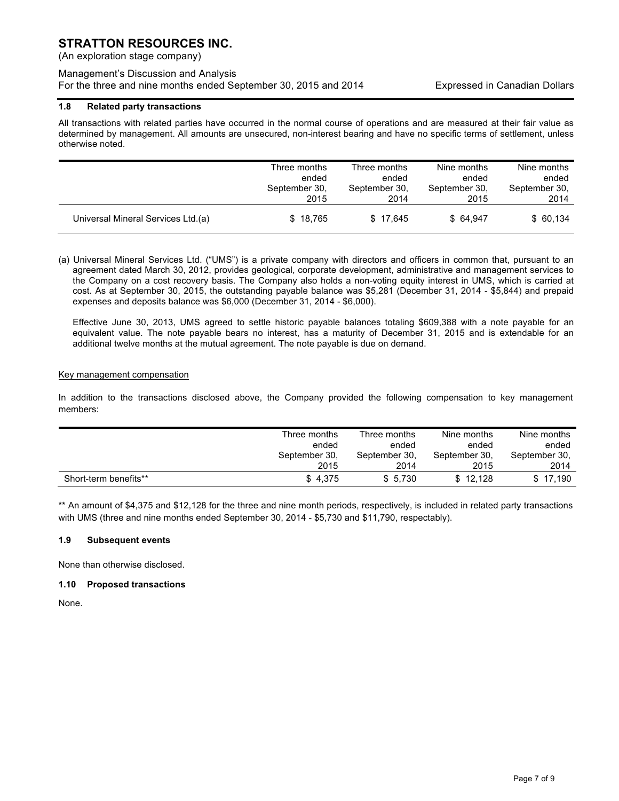(An exploration stage company)

## Management's Discussion and Analysis For the three and nine months ended September 30, 2015 and 2014 Expressed in Canadian Dollars

## **1.8 Related party transactions**

All transactions with related parties have occurred in the normal course of operations and are measured at their fair value as determined by management. All amounts are unsecured, non-interest bearing and have no specific terms of settlement, unless otherwise noted.

|                                    | Three months  | Three months  | Nine months   | Nine months   |
|------------------------------------|---------------|---------------|---------------|---------------|
|                                    | ended         | ended         | ended         | ended         |
|                                    | September 30, | September 30, | September 30, | September 30. |
|                                    | 2015          | 2014          | 2015          | 2014          |
| Universal Mineral Services Ltd.(a) | \$18.765      | \$17.645      | \$64.947      | \$60,134      |

(a) Universal Mineral Services Ltd. ("UMS") is a private company with directors and officers in common that, pursuant to an agreement dated March 30, 2012, provides geological, corporate development, administrative and management services to the Company on a cost recovery basis. The Company also holds a non-voting equity interest in UMS, which is carried at cost. As at September 30, 2015, the outstanding payable balance was \$5,281 (December 31, 2014 - \$5,844) and prepaid expenses and deposits balance was \$6,000 (December 31, 2014 - \$6,000).

Effective June 30, 2013, UMS agreed to settle historic payable balances totaling \$609,388 with a note payable for an equivalent value. The note payable bears no interest, has a maturity of December 31, 2015 and is extendable for an additional twelve months at the mutual agreement. The note payable is due on demand.

### Key management compensation

In addition to the transactions disclosed above, the Company provided the following compensation to key management members:

|                       | Three months  | Three months  | Nine months   | Nine months   |
|-----------------------|---------------|---------------|---------------|---------------|
|                       | ended         | ended         | ended         | ended         |
|                       | September 30. | September 30, | September 30. | September 30, |
|                       | 2015          | 2014          | 2015          | 2014          |
| Short-term benefits** | \$4,375       | \$5.730       | \$12.128      | \$17.190      |

\*\* An amount of \$4,375 and \$12,128 for the three and nine month periods, respectively, is included in related party transactions with UMS (three and nine months ended September 30, 2014 - \$5,730 and \$11,790, respectably).

## **1.9 Subsequent events**

None than otherwise disclosed.

### **1.10 Proposed transactions**

None.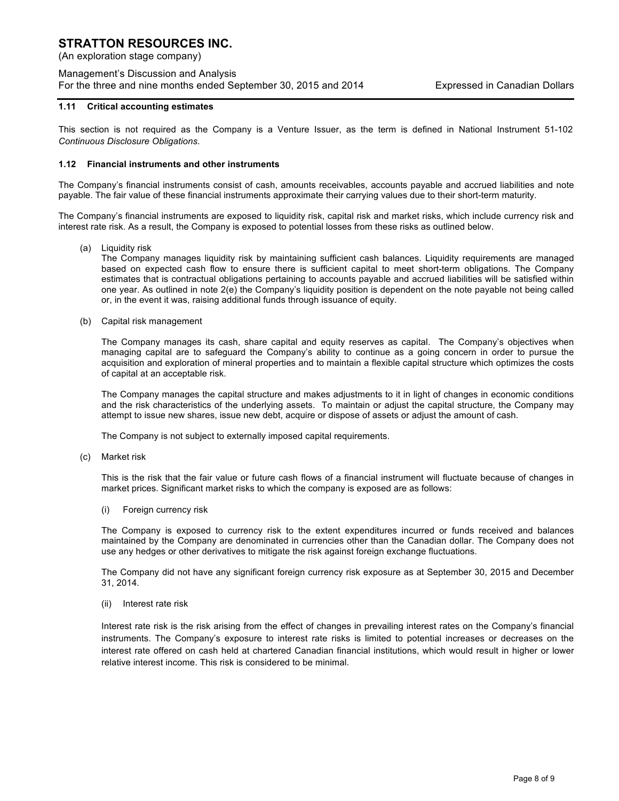(An exploration stage company)

## Management's Discussion and Analysis For the three and nine months ended September 30, 2015 and 2014 Expressed in Canadian Dollars

### **1.11 Critical accounting estimates**

This section is not required as the Company is a Venture Issuer, as the term is defined in National Instrument 51-102 *Continuous Disclosure Obligations*.

### **1.12 Financial instruments and other instruments**

The Company's financial instruments consist of cash, amounts receivables, accounts payable and accrued liabilities and note payable. The fair value of these financial instruments approximate their carrying values due to their short-term maturity.

The Company's financial instruments are exposed to liquidity risk, capital risk and market risks, which include currency risk and interest rate risk. As a result, the Company is exposed to potential losses from these risks as outlined below.

(a) Liquidity risk

The Company manages liquidity risk by maintaining sufficient cash balances. Liquidity requirements are managed based on expected cash flow to ensure there is sufficient capital to meet short-term obligations. The Company estimates that is contractual obligations pertaining to accounts payable and accrued liabilities will be satisfied within one year. As outlined in note 2(e) the Company's liquidity position is dependent on the note payable not being called or, in the event it was, raising additional funds through issuance of equity.

(b) Capital risk management

The Company manages its cash, share capital and equity reserves as capital. The Company's objectives when managing capital are to safeguard the Company's ability to continue as a going concern in order to pursue the acquisition and exploration of mineral properties and to maintain a flexible capital structure which optimizes the costs of capital at an acceptable risk.

The Company manages the capital structure and makes adjustments to it in light of changes in economic conditions and the risk characteristics of the underlying assets. To maintain or adjust the capital structure, the Company may attempt to issue new shares, issue new debt, acquire or dispose of assets or adjust the amount of cash.

The Company is not subject to externally imposed capital requirements.

(c) Market risk

This is the risk that the fair value or future cash flows of a financial instrument will fluctuate because of changes in market prices. Significant market risks to which the company is exposed are as follows:

(i) Foreign currency risk

The Company is exposed to currency risk to the extent expenditures incurred or funds received and balances maintained by the Company are denominated in currencies other than the Canadian dollar. The Company does not use any hedges or other derivatives to mitigate the risk against foreign exchange fluctuations.

The Company did not have any significant foreign currency risk exposure as at September 30, 2015 and December 31, 2014.

(ii) Interest rate risk

Interest rate risk is the risk arising from the effect of changes in prevailing interest rates on the Company's financial instruments. The Company's exposure to interest rate risks is limited to potential increases or decreases on the interest rate offered on cash held at chartered Canadian financial institutions, which would result in higher or lower relative interest income. This risk is considered to be minimal.